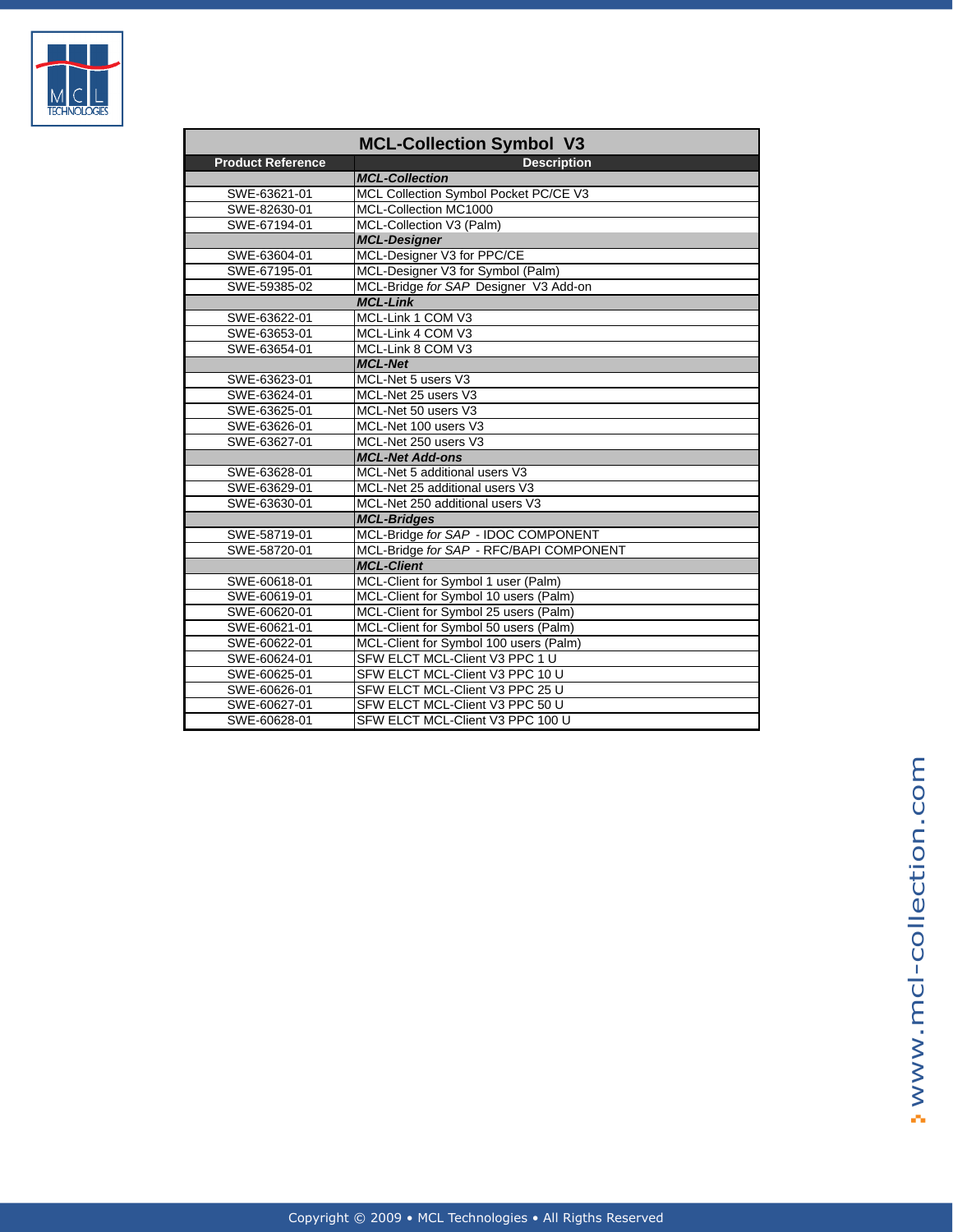

| <b>MCL-Collection Symbol V3</b> |                                         |  |
|---------------------------------|-----------------------------------------|--|
| <b>Product Reference</b>        | <b>Description</b>                      |  |
|                                 | <b>MCL-Collection</b>                   |  |
| SWE-63621-01                    | MCL Collection Symbol Pocket PC/CE V3   |  |
| SWE-82630-01                    | MCL-Collection MC1000                   |  |
| SWE-67194-01                    | MCL-Collection V3 (Palm)                |  |
|                                 | <b>MCL-Designer</b>                     |  |
| SWE-63604-01                    | MCL-Designer V3 for PPC/CE              |  |
| SWE-67195-01                    | MCL-Designer V3 for Symbol (Palm)       |  |
| SWE-59385-02                    | MCL-Bridge for SAP Designer V3 Add-on   |  |
|                                 | <b>MCL-Link</b>                         |  |
| SWE-63622-01                    | MCL-Link 1 COM V3                       |  |
| SWE-63653-01                    | MCL-Link 4 COM V3                       |  |
| SWE-63654-01                    | MCL-Link 8 COM V3                       |  |
|                                 | <b>MCL-Net</b>                          |  |
| SWE-63623-01                    | MCL-Net 5 users V3                      |  |
| SWE-63624-01                    | MCL-Net 25 users V3                     |  |
| SWE-63625-01                    | MCL-Net 50 users V3                     |  |
| SWE-63626-01                    | MCL-Net 100 users V3                    |  |
| SWE-63627-01                    | MCL-Net 250 users V3                    |  |
|                                 | <b>MCL-Net Add-ons</b>                  |  |
| SWE-63628-01                    | MCL-Net 5 additional users V3           |  |
| SWE-63629-01                    | MCL-Net 25 additional users V3          |  |
| SWE-63630-01                    | MCL-Net 250 additional users V3         |  |
|                                 | <b>MCL-Bridges</b>                      |  |
| SWE-58719-01                    | MCL-Bridge for SAP - IDOC COMPONENT     |  |
| SWE-58720-01                    | MCL-Bridge for SAP - RFC/BAPI COMPONENT |  |
|                                 | <b>MCL-Client</b>                       |  |
| SWE-60618-01                    | MCL-Client for Symbol 1 user (Palm)     |  |
| SWE-60619-01                    | MCL-Client for Symbol 10 users (Palm)   |  |
| SWE-60620-01                    | MCL-Client for Symbol 25 users (Palm)   |  |
| SWE-60621-01                    | MCL-Client for Symbol 50 users (Palm)   |  |
| SWE-60622-01                    | MCL-Client for Symbol 100 users (Palm)  |  |
| SWE-60624-01                    | SFW ELCT MCL-Client V3 PPC 1 U          |  |
| SWE-60625-01                    | SFW ELCT MCL-Client V3 PPC 10 U         |  |
| SWE-60626-01                    | SFW ELCT MCL-Client V3 PPC 25 U         |  |
| SWE-60627-01                    | SFW ELCT MCL-Client V3 PPC 50 U         |  |
| SWE-60628-01                    | SFW ELCT MCL-Client V3 PPC 100 U        |  |